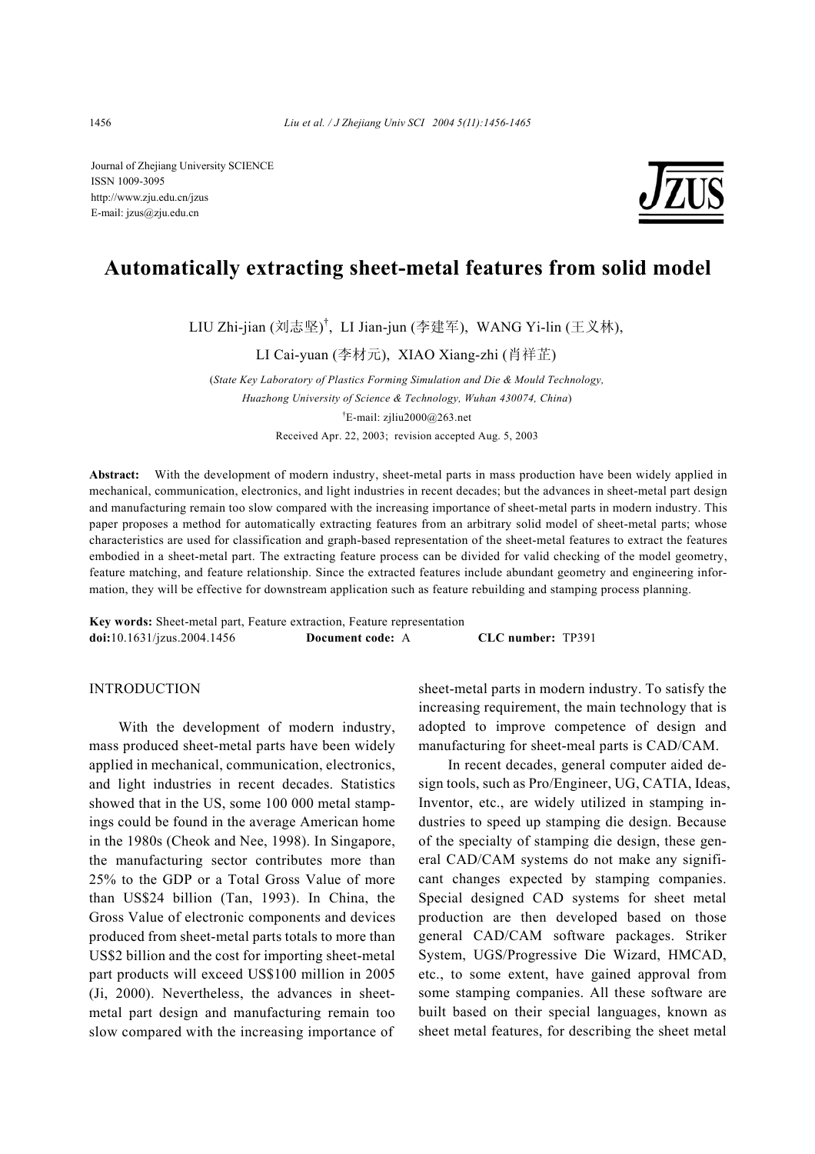Journal of Zhejiang University SCIENCE ISSN 1009-3095 http://www.zju.edu.cn/jzus E-mail: jzus@zju.edu.cn



# **Automatically extracting sheet-metal features from solid model**

LIU Zhi-jian (刘志坚)<sup>†</sup>,LI Jian-jun (李建军),WANG Yi-lin (王义林),

LI Cai-yuan (李材元), XIAO Xiang-zhi (肖祥芷)

(*State Key Laboratory of Plastics Forming Simulation and Die & Mould Technology, Huazhong University of Science & Technology, Wuhan 430074, China*) † E-mail: zjliu2000@263.net Received Apr. 22, 2003; revision accepted Aug. 5, 2003

**Abstract:** With the development of modern industry, sheet-metal parts in mass production have been widely applied in mechanical, communication, electronics, and light industries in recent decades; but the advances in sheet-metal part design and manufacturing remain too slow compared with the increasing importance of sheet-metal parts in modern industry. This paper proposes a method for automatically extracting features from an arbitrary solid model of sheet-metal parts; whose characteristics are used for classification and graph-based representation of the sheet-metal features to extract the features embodied in a sheet-metal part. The extracting feature process can be divided for valid checking of the model geometry, feature matching, and feature relationship. Since the extracted features include abundant geometry and engineering information, they will be effective for downstream application such as feature rebuilding and stamping process planning.

**Key words:** Sheet-metal part, Feature extraction, Feature representation **doi:**10.1631/jzus.2004.1456 **Document code:** A **CLC number:** TP391

With the development of modern industry, mass produced sheet-metal parts have been widely applied in mechanical, communication, electronics, and light industries in recent decades. Statistics showed that in the US, some 100 000 metal stampings could be found in the average American home in the 1980s (Cheok and Nee, 1998). In Singapore, the manufacturing sector contributes more than 25% to the GDP or a Total Gross Value of more than US\$24 billion (Tan, 1993). In China, the Gross Value of electronic components and devices produced from sheet-metal parts totals to more than US\$2 billion and the cost for importing sheet-metal part products will exceed US\$100 million in 2005 (Ji, 2000). Nevertheless, the advances in sheetmetal part design and manufacturing remain too slow compared with the increasing importance of

INTRODUCTION sheet-metal parts in modern industry. To satisfy the increasing requirement, the main technology that is adopted to improve competence of design and manufacturing for sheet-meal parts is CAD/CAM.

> In recent decades, general computer aided design tools, such as Pro/Engineer, UG, CATIA, Ideas, Inventor, etc., are widely utilized in stamping industries to speed up stamping die design. Because of the specialty of stamping die design, these general CAD/CAM systems do not make any significant changes expected by stamping companies. Special designed CAD systems for sheet metal production are then developed based on those general CAD/CAM software packages. Striker System, UGS/Progressive Die Wizard, HMCAD, etc., to some extent, have gained approval from some stamping companies. All these software are built based on their special languages, known as sheet metal features, for describing the sheet metal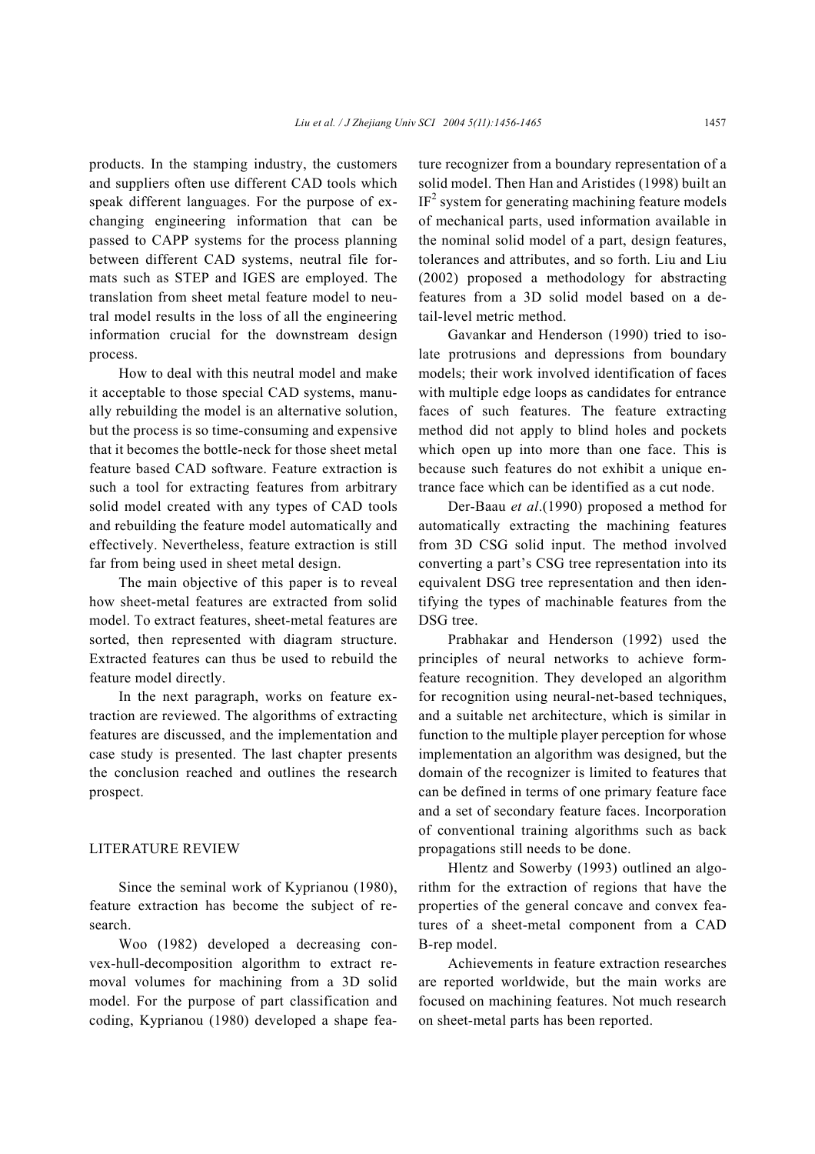products. In the stamping industry, the customers and suppliers often use different CAD tools which speak different languages. For the purpose of exchanging engineering information that can be passed to CAPP systems for the process planning between different CAD systems, neutral file formats such as STEP and IGES are employed. The translation from sheet metal feature model to neutral model results in the loss of all the engineering information crucial for the downstream design process.

How to deal with this neutral model and make it acceptable to those special CAD systems, manually rebuilding the model is an alternative solution, but the process is so time-consuming and expensive that it becomes the bottle-neck for those sheet metal feature based CAD software. Feature extraction is such a tool for extracting features from arbitrary solid model created with any types of CAD tools and rebuilding the feature model automatically and effectively. Nevertheless, feature extraction is still far from being used in sheet metal design.

The main objective of this paper is to reveal how sheet-metal features are extracted from solid model. To extract features, sheet-metal features are sorted, then represented with diagram structure. Extracted features can thus be used to rebuild the feature model directly.

In the next paragraph, works on feature extraction are reviewed. The algorithms of extracting features are discussed, and the implementation and case study is presented. The last chapter presents the conclusion reached and outlines the research prospect.

#### LITERATURE REVIEW

Since the seminal work of Kyprianou (1980), feature extraction has become the subject of research.

Woo (1982) developed a decreasing convex-hull-decomposition algorithm to extract removal volumes for machining from a 3D solid model. For the purpose of part classification and coding, Kyprianou (1980) developed a shape feature recognizer from a boundary representation of a solid model. Then Han and Aristides (1998) built an  $IF<sup>2</sup>$  system for generating machining feature models of mechanical parts, used information available in the nominal solid model of a part, design features, tolerances and attributes, and so forth. Liu and Liu (2002) proposed a methodology for abstracting features from a 3D solid model based on a detail-level metric method.

Gavankar and Henderson (1990) tried to isolate protrusions and depressions from boundary models; their work involved identification of faces with multiple edge loops as candidates for entrance faces of such features. The feature extracting method did not apply to blind holes and pockets which open up into more than one face. This is because such features do not exhibit a unique entrance face which can be identified as a cut node.

Der-Baau *et al*.(1990) proposed a method for automatically extracting the machining features from 3D CSG solid input. The method involved converting a part's CSG tree representation into its equivalent DSG tree representation and then identifying the types of machinable features from the DSG tree.

Prabhakar and Henderson (1992) used the principles of neural networks to achieve formfeature recognition. They developed an algorithm for recognition using neural-net-based techniques, and a suitable net architecture, which is similar in function to the multiple player perception for whose implementation an algorithm was designed, but the domain of the recognizer is limited to features that can be defined in terms of one primary feature face and a set of secondary feature faces. Incorporation of conventional training algorithms such as back propagations still needs to be done.

Hlentz and Sowerby (1993) outlined an algorithm for the extraction of regions that have the properties of the general concave and convex features of a sheet-metal component from a CAD B-rep model.

Achievements in feature extraction researches are reported worldwide, but the main works are focused on machining features. Not much research on sheet-metal parts has been reported.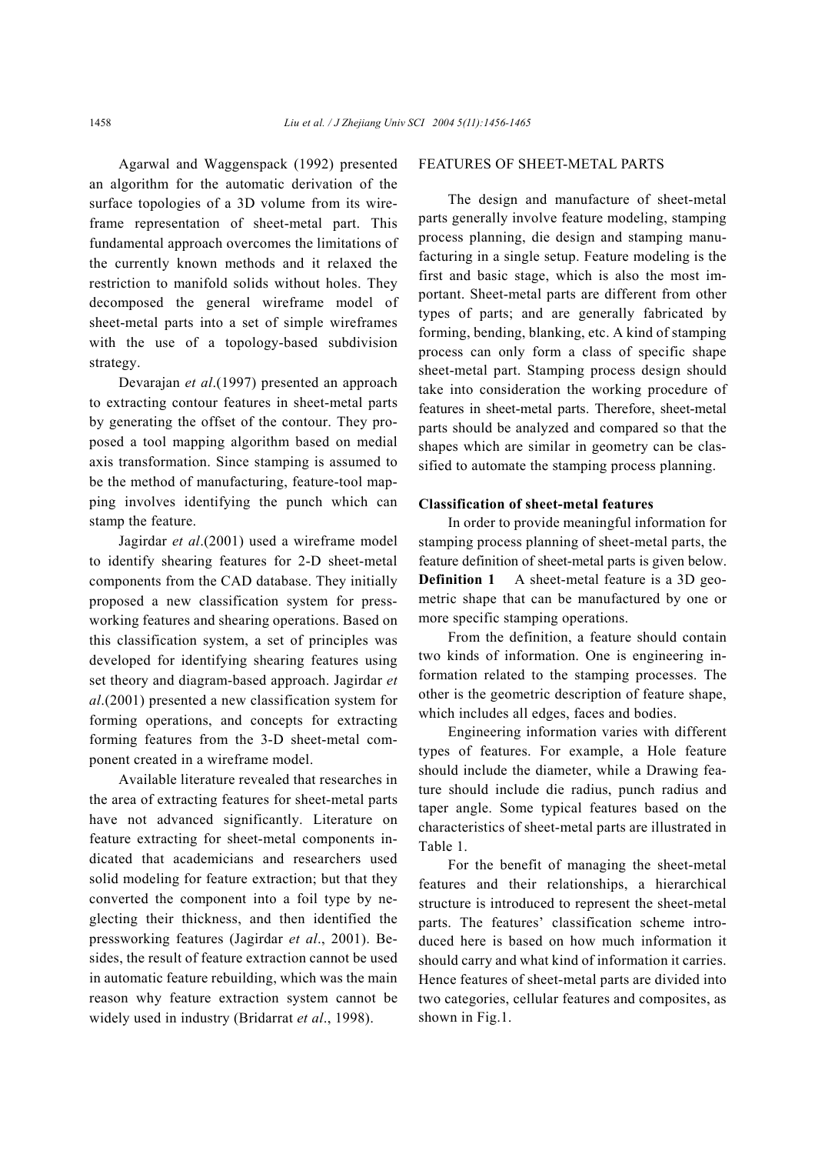Agarwal and Waggenspack (1992) presented an algorithm for the automatic derivation of the surface topologies of a 3D volume from its wireframe representation of sheet-metal part. This fundamental approach overcomes the limitations of the currently known methods and it relaxed the restriction to manifold solids without holes. They decomposed the general wireframe model of sheet-metal parts into a set of simple wireframes with the use of a topology-based subdivision strategy.

Devarajan *et al*.(1997) presented an approach to extracting contour features in sheet-metal parts by generating the offset of the contour. They proposed a tool mapping algorithm based on medial axis transformation. Since stamping is assumed to be the method of manufacturing, feature-tool mapping involves identifying the punch which can stamp the feature.

Jagirdar *et al*.(2001) used a wireframe model to identify shearing features for 2-D sheet-metal components from the CAD database. They initially proposed a new classification system for pressworking features and shearing operations. Based on this classification system, a set of principles was developed for identifying shearing features using set theory and diagram-based approach. Jagirdar *et al*.(2001) presented a new classification system for forming operations, and concepts for extracting forming features from the 3-D sheet-metal component created in a wireframe model.

Available literature revealed that researches in the area of extracting features for sheet-metal parts have not advanced significantly. Literature on feature extracting for sheet-metal components indicated that academicians and researchers used solid modeling for feature extraction; but that they converted the component into a foil type by neglecting their thickness, and then identified the pressworking features (Jagirdar *et al*., 2001). Besides, the result of feature extraction cannot be used in automatic feature rebuilding, which was the main reason why feature extraction system cannot be widely used in industry (Bridarrat *et al*., 1998).

### FEATURES OF SHEET-METAL PARTS

The design and manufacture of sheet-metal parts generally involve feature modeling, stamping process planning, die design and stamping manufacturing in a single setup. Feature modeling is the first and basic stage, which is also the most important. Sheet-metal parts are different from other types of parts; and are generally fabricated by forming, bending, blanking, etc. A kind of stamping process can only form a class of specific shape sheet-metal part. Stamping process design should take into consideration the working procedure of features in sheet-metal parts. Therefore, sheet-metal parts should be analyzed and compared so that the shapes which are similar in geometry can be classified to automate the stamping process planning.

#### **Classification of sheet-metal features**

In order to provide meaningful information for stamping process planning of sheet-metal parts, the feature definition of sheet-metal parts is given below. **Definition 1** A sheet-metal feature is a 3D geometric shape that can be manufactured by one or more specific stamping operations.

From the definition, a feature should contain two kinds of information. One is engineering information related to the stamping processes. The other is the geometric description of feature shape, which includes all edges, faces and bodies.

Engineering information varies with different types of features. For example, a Hole feature should include the diameter, while a Drawing feature should include die radius, punch radius and taper angle. Some typical features based on the characteristics of sheet-metal parts are illustrated in Table 1.

For the benefit of managing the sheet-metal features and their relationships, a hierarchical structure is introduced to represent the sheet-metal parts. The features' classification scheme introduced here is based on how much information it should carry and what kind of information it carries. Hence features of sheet-metal parts are divided into two categories, cellular features and composites, as shown in Fig.1.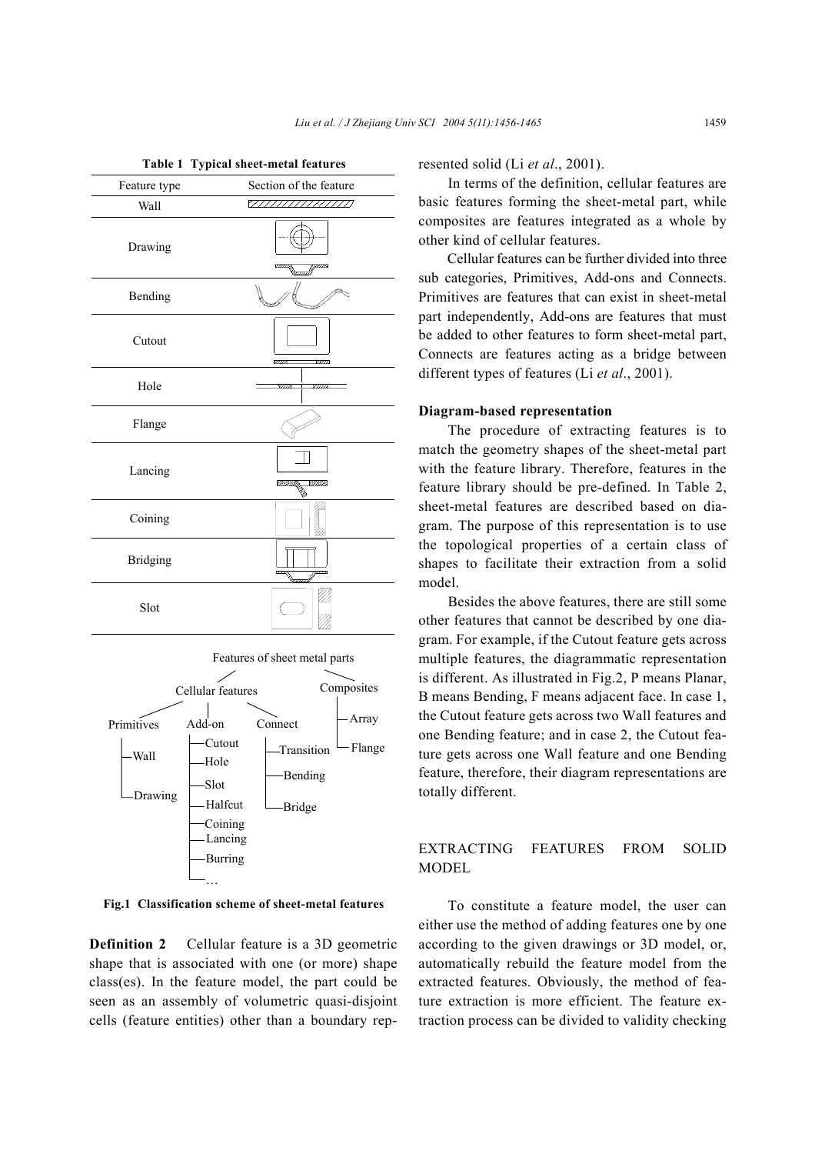| Table 1 Typical succe-inclar icatures |                                          |  |
|---------------------------------------|------------------------------------------|--|
| Feature type                          | Section of the feature                   |  |
| Wall                                  | <u>777777777777777</u>                   |  |
| Drawing                               | <del>anak yana</del>                     |  |
| Bending                               |                                          |  |
| Cutout                                | ZZZZ<br>ww                               |  |
| Hole                                  | YШ<br>vma                                |  |
| Flange                                |                                          |  |
| Lancing                               | Villilli<br>-<br>Tillillin <sub>ga</sub> |  |
| Coining                               |                                          |  |
| <b>Bridging</b>                       | $\mathbb{Z}$                             |  |
| Slot                                  |                                          |  |

**Table 1 Typical sheet-metal features**

**Primitives** Wall Drawing Bending Connect Transition Bridge Features of sheet metal parts **Composites** Array Flange Cellular features **Burring** Slot Add-on Cutout Hole Lancing Halfcut Coining …

**Fig.1 Classification scheme of sheet-metal features**

**Definition 2** Cellular feature is a 3D geometric shape that is associated with one (or more) shape class(es). In the feature model, the part could be seen as an assembly of volumetric quasi-disjoint cells (feature entities) other than a boundary represented solid (Li *et al*., 2001).

In terms of the definition, cellular features are basic features forming the sheet-metal part, while composites are features integrated as a whole by other kind of cellular features.

Cellular features can be further divided into three sub categories, Primitives, Add-ons and Connects. Primitives are features that can exist in sheet-metal part independently, Add-ons are features that must be added to other features to form sheet-metal part, Connects are features acting as a bridge between different types of features (Li *et al*., 2001).

#### **Diagram-based representation**

The procedure of extracting features is to match the geometry shapes of the sheet-metal part with the feature library. Therefore, features in the feature library should be pre-defined. In Table 2, sheet-metal features are described based on diagram. The purpose of this representation is to use the topological properties of a certain class of shapes to facilitate their extraction from a solid model.

Besides the above features, there are still some other features that cannot be described by one diagram. For example, if the Cutout feature gets across multiple features, the diagrammatic representation is different. As illustrated in Fig.2, P means Planar, B means Bending, F means adjacent face. In case 1, the Cutout feature gets across two Wall features and one Bending feature; and in case 2, the Cutout feature gets across one Wall feature and one Bending feature, therefore, their diagram representations are totally different.

# EXTRACTING FEATURES FROM SOLID MODEL

To constitute a feature model, the user can either use the method of adding features one by one according to the given drawings or 3D model, or, automatically rebuild the feature model from the extracted features. Obviously, the method of feature extraction is more efficient. The feature extraction process can be divided to validity checking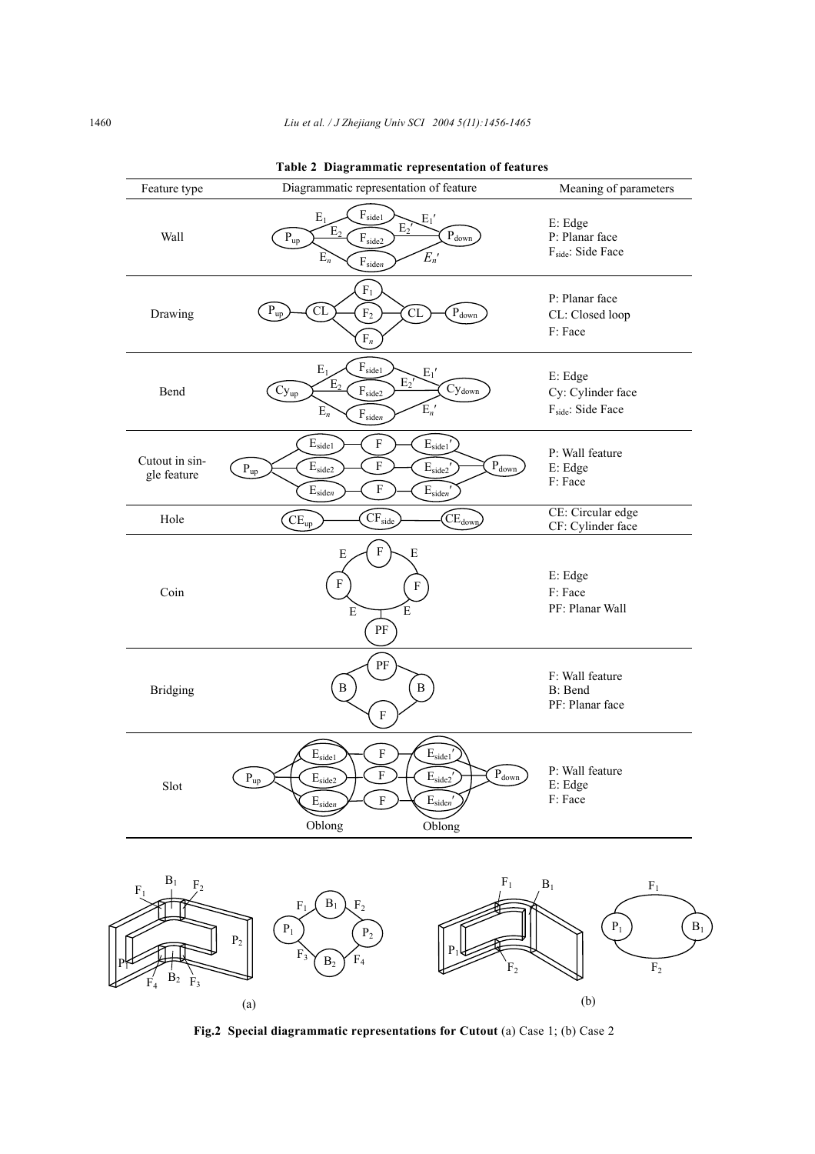| Feature type                          | Diagrammatic representation of feature                                                                                                                                                                                                                                                                                    | Meaning of parameters                                         |
|---------------------------------------|---------------------------------------------------------------------------------------------------------------------------------------------------------------------------------------------------------------------------------------------------------------------------------------------------------------------------|---------------------------------------------------------------|
| Wall                                  | $\mathbf{F}_{\text{side}1}$<br>$E_1$<br>$E_1'$<br>$E_2'$<br>$E_2$<br>$\mathbf{P}_{\text{down}}$<br>$\mathbf{P}_{\text{up}}$<br>$\rm F_{side2}$<br>$E_n$ '<br>$E_n$<br>$\mathbf{F}_{\text{side}n}$                                                                                                                         | E: Edge<br>P: Planar face<br>F <sub>side</sub> : Side Face    |
| Drawing                               | $F_1$<br>$\mathbf{\bar{P}_{up}}$<br>CL <sup>-</sup><br>$\mathbf{\hat{P}}_{down}$<br>$F_2$<br>CL<br>$F_n$                                                                                                                                                                                                                  | P: Planar face<br>CL: Closed loop<br>F: Face                  |
| Bend                                  | $\mathbf{F}_{side1}$<br>$E_1$<br>$E_1'$<br>$E_2'$<br>E <sub>2</sub><br>$Cy_{down}$<br>$\rm F_{side2}$<br>$Cy_{up}$<br>$E_n'$<br>$E_n$<br>$\mathbf{F}_{\text{siden}}$                                                                                                                                                      | E: Edge<br>Cy: Cylinder face<br>F <sub>side</sub> : Side Face |
| Cutout in sin-<br>gle feature         | $\mathbf{\bar{E}_{side1}}$<br>$E_{side1}$<br>F<br>$\mathbf{P}_{\text{down}}$<br>${\bf F}$<br>$E_{side2}$<br>$\mathbf{E}_{side2}$<br>$\mathbf{P}_{\text{up}}$<br>${\bf F}$<br>$\mathbf{E}_{\text{siden}}$<br>$E_{\text{siden}}'$                                                                                           | P: Wall feature<br>E: Edge<br>F: Face                         |
| Hole                                  | $\mathsf{\hat{CF}}_{\mathsf{side}}$<br>$CE_{down}$<br>$CE_{up}$                                                                                                                                                                                                                                                           | CE: Circular edge<br>CF: Cylinder face                        |
| Coin                                  | F<br>E<br>E<br>${\bf F}$<br>$\mathbf F$<br>Έ<br>E<br>$\rm PF$                                                                                                                                                                                                                                                             | E: Edge<br>F: Face<br>PF: Planar Wall                         |
| <b>Bridging</b>                       | $\rm PF$<br>B<br>B<br>$\mathbf F$                                                                                                                                                                                                                                                                                         | F: Wall feature<br>B: Bend<br>PF: Planar face                 |
| $\operatorname{Slot}$                 | $\boldsymbol{\mathrm{F}}$<br>$\mathrm{E}_{\text{side}1}$<br>$\mathbf{E}_{\text{side}\underline{1}}$<br>$\mathbf{P}_{\text{down}}$<br>F<br>$E_{\text{side2}}'$<br>$\mathrm{E}_{\text{side2}}$<br>$\mathbf{P}_{\text{up}}$<br>$\mathrm{E}_{\text{siden}^{\prime}}$<br>$E_{\text{siden}}$<br>$\mathbf F$<br>Oblong<br>Oblong | P: Wall feature<br>E: Edge<br>F: Face                         |
| $B_1$<br>$\rm{F}_2$<br>$\mathrm{F}_1$ | $F_1$                                                                                                                                                                                                                                                                                                                     | $\mathbf{B}_1$<br>$\mathrm{F}_1$                              |

**Table 2 Diagrammatic representation of features**



**Fig.2 Special diagrammatic representations for Cutout** (a) Case 1; (b) Case 2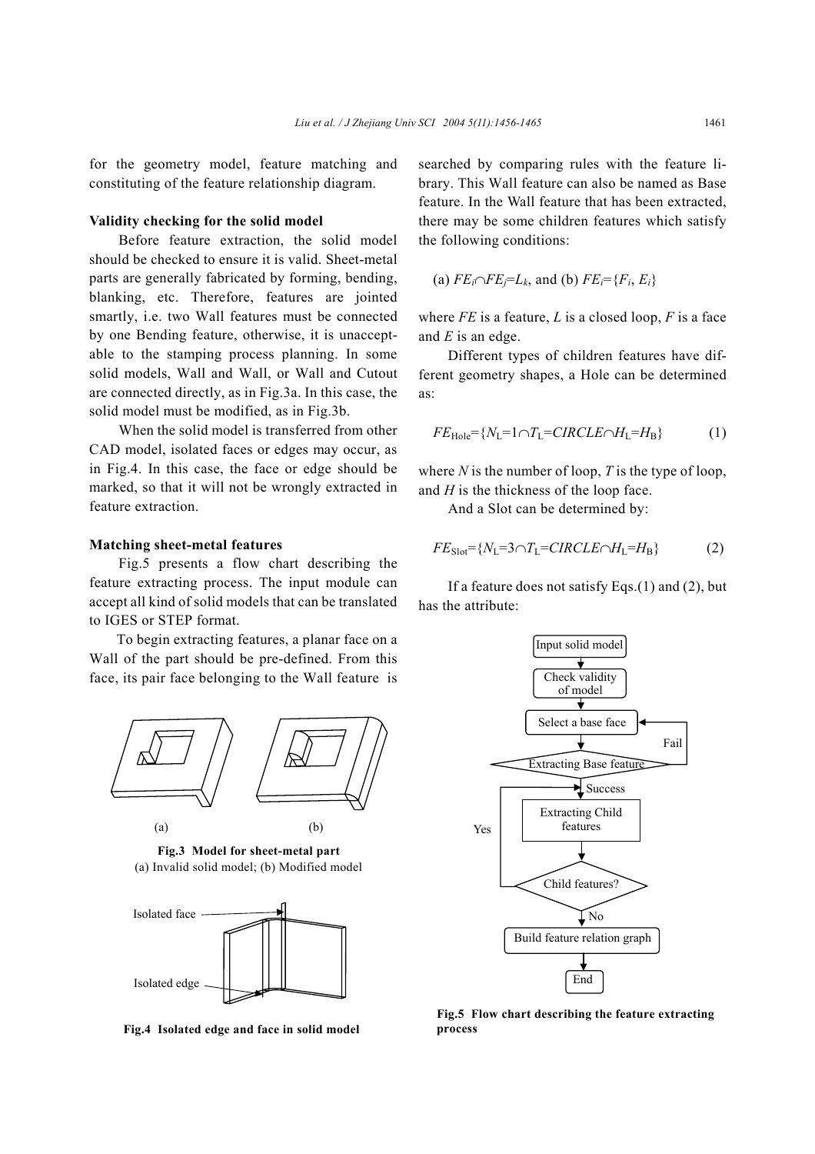for the geometry model, feature matching and constituting of the feature relationship diagram.

#### **Validity checking for the solid model**

Before feature extraction, the solid model should be checked to ensure it is valid. Sheet-metal parts are generally fabricated by forming, bending, blanking, etc. Therefore, features are jointed smartly, i.e. two Wall features must be connected by one Bending feature, otherwise, it is unacceptable to the stamping process planning. In some solid models, Wall and Wall, or Wall and Cutout are connected directly, as in Fig.3a. In this case, the solid model must be modified, as in Fig.3b.

When the solid model is transferred from other CAD model, isolated faces or edges may occur, as in Fig.4. In this case, the face or edge should be marked, so that it will not be wrongly extracted in feature extraction.

#### **Matching sheet-metal features**

Fig.5 presents a flow chart describing the feature extracting process. The input module can accept all kind of solid models that can be translated to IGES or STEP format.

To begin extracting features, a planar face on a Wall of the part should be pre-defined. From this face, its pair face belonging to the Wall feature is



**Fig.3 Model for sheet-metal part**  (a) Invalid solid model; (b) Modified model



**Fig.4 Isolated edge and face in solid model**

searched by comparing rules with the feature library. This Wall feature can also be named as Base feature. In the Wall feature that has been extracted, there may be some children features which satisfy the following conditions:

(a) 
$$
FE_i \cap FE_j = L_k
$$
, and (b)  $FE_i = \{F_i, E_i\}$ 

where  $FE$  is a feature,  $L$  is a closed loop,  $F$  is a face and *E* is an edge.

Different types of children features have different geometry shapes, a Hole can be determined as:

$$
FE_{\text{Hole}} = \{ N_{\text{L}} = 1 \cap T_{\text{L}} = CIRCLE \cap H_{\text{L}} = H_{\text{B}} \} \tag{1}
$$

where *N* is the number of loop, *T* is the type of loop, and *H* is the thickness of the loop face.

And a Slot can be determined by:

$$
FE_{\text{Slot}} = \{N_{\text{L}} = 3 \cap T_{\text{L}} = CIRCLE \cap H_{\text{L}} = H_{\text{B}}\} \tag{2}
$$

If a feature does not satisfy Eqs.(1) and (2), but has the attribute:



**Fig.5 Flow chart describing the feature extracting process**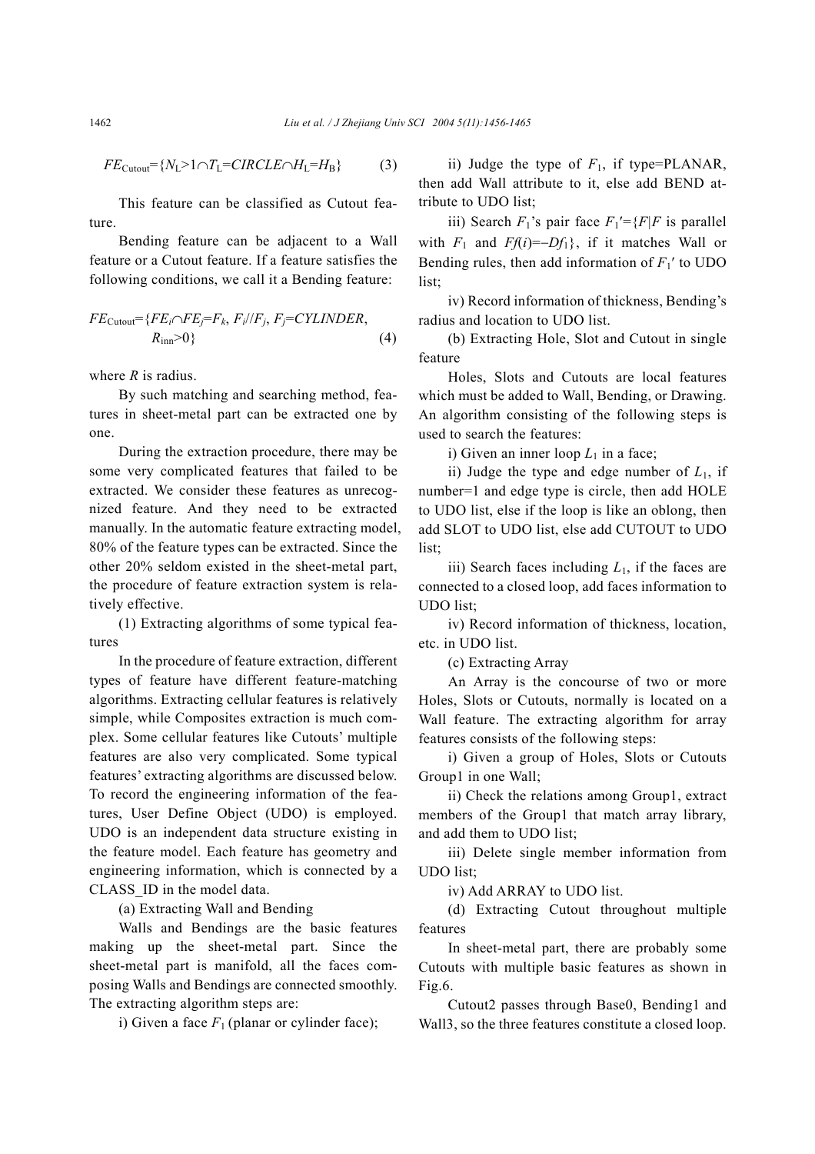$$
FE_{\text{Cutout}} = \{N_{\text{L}} > 1 \cap T_{\text{L}} = CIRCLE \cap H_{\text{L}} = H_{\text{B}}\} \tag{3}
$$

This feature can be classified as Cutout feature.

Bending feature can be adjacent to a Wall feature or a Cutout feature. If a feature satisfies the following conditions, we call it a Bending feature:

$$
FE_{\text{Cutout}} = \{ FE_i \cap FE_j = F_k, F_i / / F_j, F_j = CYLINDER, R_{\text{inn}} > 0 \}
$$
\n
$$
(4)
$$

where *R* is radius.

By such matching and searching method, features in sheet-metal part can be extracted one by one.

During the extraction procedure, there may be some very complicated features that failed to be extracted. We consider these features as unrecognized feature. And they need to be extracted manually. In the automatic feature extracting model, 80% of the feature types can be extracted. Since the other 20% seldom existed in the sheet-metal part, the procedure of feature extraction system is relatively effective.

(1) Extracting algorithms of some typical features

In the procedure of feature extraction, different types of feature have different feature-matching algorithms. Extracting cellular features is relatively simple, while Composites extraction is much complex. Some cellular features like Cutouts' multiple features are also very complicated. Some typical features' extracting algorithms are discussed below. To record the engineering information of the features, User Define Object (UDO) is employed. UDO is an independent data structure existing in the feature model. Each feature has geometry and engineering information, which is connected by a CLASS\_ID in the model data.

(a) Extracting Wall and Bending

Walls and Bendings are the basic features making up the sheet-metal part. Since the sheet-metal part is manifold, all the faces composing Walls and Bendings are connected smoothly. The extracting algorithm steps are:

i) Given a face  $F_1$  (planar or cylinder face);

ii) Judge the type of  $F_1$ , if type=PLANAR, then add Wall attribute to it, else add BEND attribute to UDO list;

iii) Search  $F_1$ 's pair face  $F_1' = \{F|F \text{ is parallel}\}\$ with  $F_1$  and  $Ff(i)=-Df_1$ , if it matches Wall or Bending rules, then add information of  $F_1'$  to UDO list;

iv) Record information of thickness, Bending's radius and location to UDO list.

(b) Extracting Hole, Slot and Cutout in single feature

Holes, Slots and Cutouts are local features which must be added to Wall, Bending, or Drawing. An algorithm consisting of the following steps is used to search the features:

i) Given an inner loop  $L_1$  in a face;

ii) Judge the type and edge number of  $L_1$ , if number=1 and edge type is circle, then add HOLE to UDO list, else if the loop is like an oblong, then add SLOT to UDO list, else add CUTOUT to UDO list;

iii) Search faces including  $L_1$ , if the faces are connected to a closed loop, add faces information to UDO list;

iv) Record information of thickness, location, etc. in UDO list.

(c) Extracting Array

An Array is the concourse of two or more Holes, Slots or Cutouts, normally is located on a Wall feature. The extracting algorithm for array features consists of the following steps:

i) Given a group of Holes, Slots or Cutouts Group1 in one Wall;

ii) Check the relations among Group1, extract members of the Group1 that match array library, and add them to UDO list;

iii) Delete single member information from UDO list;

iv) Add ARRAY to UDO list.

(d) Extracting Cutout throughout multiple features

In sheet-metal part, there are probably some Cutouts with multiple basic features as shown in Fig.6.

Cutout2 passes through Base0, Bending1 and Wall3, so the three features constitute a closed loop.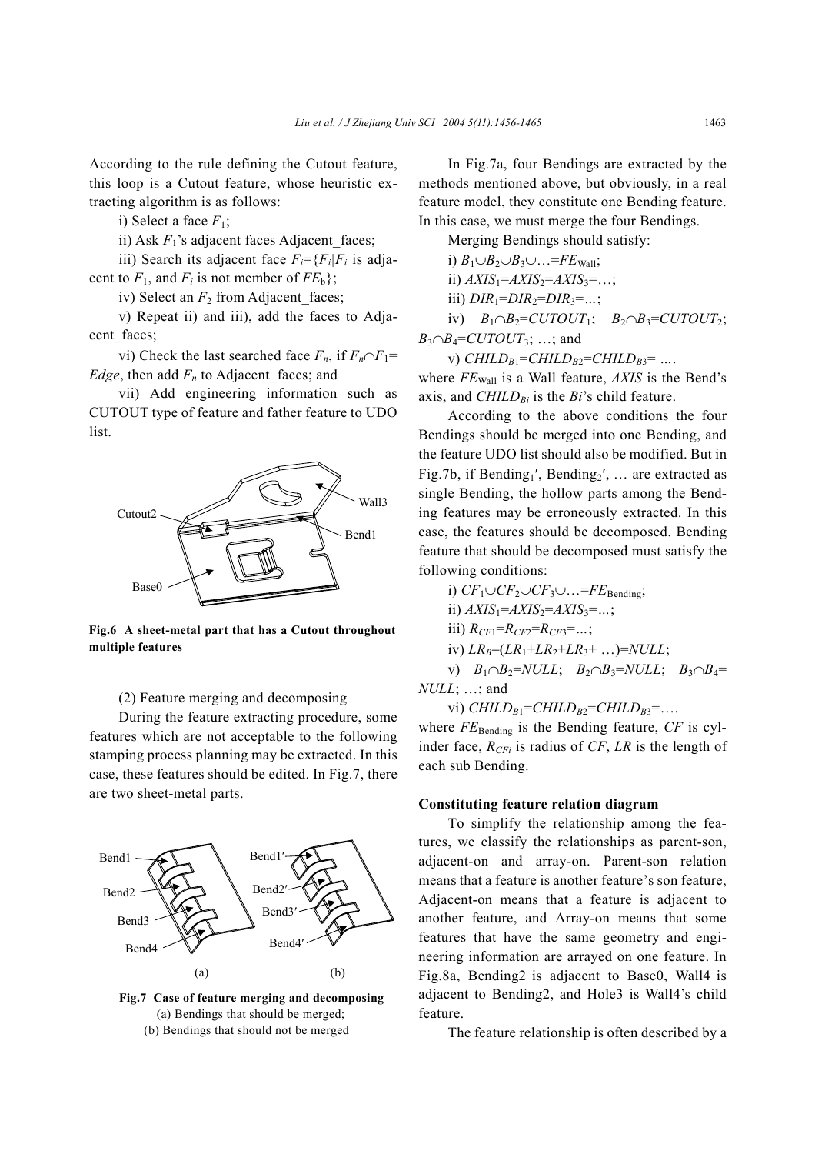According to the rule defining the Cutout feature, this loop is a Cutout feature, whose heuristic extracting algorithm is as follows:

i) Select a face  $F_1$ ;

ii) Ask  $F_1$ 's adjacent faces Adjacent faces;

iii) Search its adjacent face  $F_i = \{F_i | F_i$  is adjacent to  $F_1$ , and  $F_i$  is not member of  $FE<sub>b</sub>$ ;

iv) Select an  $F_2$  from Adjacent faces;

v) Repeat ii) and iii), add the faces to Adjacent\_faces;

vi) Check the last searched face  $F_n$ , if  $F_n \cap F_1 =$ *Edge*, then add  $F_n$  to Adjacent faces; and

vii) Add engineering information such as CUTOUT type of feature and father feature to UDO list.



**Fig.6 A sheet-metal part that has a Cutout throughout multiple features** 

## (2) Feature merging and decomposing

During the feature extracting procedure, some features which are not acceptable to the following stamping process planning may be extracted. In this case, these features should be edited. In Fig.7, there are two sheet-metal parts.



**Fig.7 Case of feature merging and decomposing**  (a) Bendings that should be merged; (b) Bendings that should not be merged

In Fig.7a, four Bendings are extracted by the methods mentioned above, but obviously, in a real feature model, they constitute one Bending feature. In this case, we must merge the four Bendings.

Merging Bendings should satisfy: i)  $B_1 \cup B_2 \cup B_3 \cup ... = FE$ <sub>Wall</sub>; ii)  $AXIS_1 = AXIS_2 = AXIS_3 = ...;$ iii)  $DIR_1 = DIR_2 = DIR_3 = ...;$ iv)  $B_1 ∩ B_2 = CUTOUT_1$ ;  $B_2 ∩ B_3 = CUTOUT_2$ ;

*B*<sub>3</sub>∩*B*<sub>4</sub>=*CUTOUT*<sub>3</sub>; …; and

v)  $CHILD_{B1} = CHILD_{B2} = CHILD_{B3} = ...$ 

where *FE*<sub>Wall</sub> is a Wall feature, *AXIS* is the Bend's axis, and  $CHILD_{Bi}$  is the  $Bi$ 's child feature.

According to the above conditions the four Bendings should be merged into one Bending, and the feature UDO list should also be modified. But in Fig.7b, if Bending<sub>1</sub>', Bending<sub>2</sub>', ... are extracted as single Bending, the hollow parts among the Bending features may be erroneously extracted. In this case, the features should be decomposed. Bending feature that should be decomposed must satisfy the following conditions:

i)  $CF_1 \cup CF_2 \cup CF_3 \cup ... = FE_{\text{Bending}}$ ; ii)  $AXIS_1 = AXIS_2 = AXIS_3 = ...;$ iii)  $R_{CF1} = R_{CF2} = R_{CF3} = ...$ ;  $i$ v)  $LR_B-(LR_1+LR_2+LR_3+...)= NULL;$ v)  $B_1 \cap B_2 = NULL$ ;  $B_2 \cap B_3 = NULL$ ;  $B_3 \cap B_4 =$ 

*NULL*; …; and

vi)  $CHILD_{B1} = CHILD_{B2} = CHILD_{B3} = \dots$ 

where  $FE_{\text{Bending}}$  is the Bending feature,  $CF$  is cylinder face, *RCFi* is radius of *CF*, *LR* is the length of each sub Bending.

#### **Constituting feature relation diagram**

To simplify the relationship among the features, we classify the relationships as parent-son, adjacent-on and array-on. Parent-son relation means that a feature is another feature's son feature, Adjacent-on means that a feature is adjacent to another feature, and Array-on means that some features that have the same geometry and engineering information are arrayed on one feature. In Fig.8a, Bending2 is adjacent to Base0, Wall4 is adjacent to Bending2, and Hole3 is Wall4's child feature.

The feature relationship is often described by a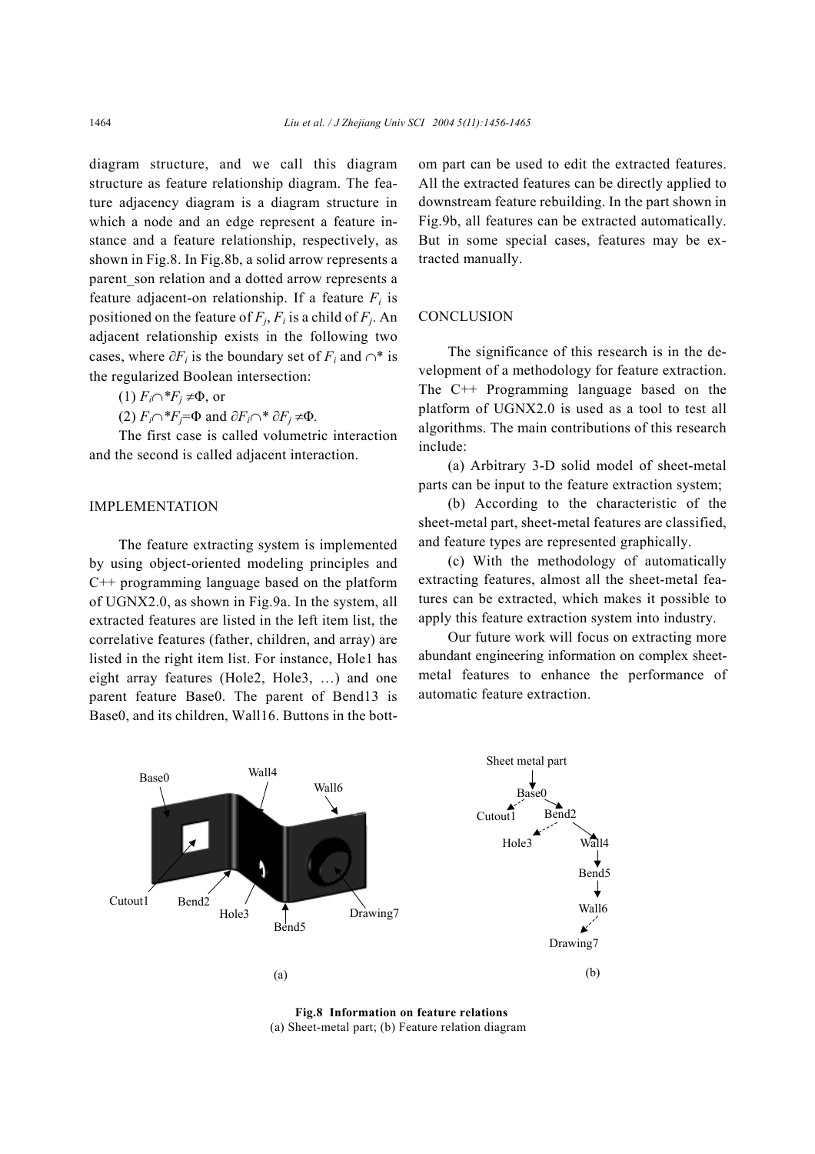diagram structure, and we call this diagram structure as feature relationship diagram. The feature adjacency diagram is a diagram structure in which a node and an edge represent a feature instance and a feature relationship, respectively, as shown in Fig.8. In Fig.8b, a solid arrow represents a parent son relation and a dotted arrow represents a feature adjacent-on relationship. If a feature  $F_i$  is positioned on the feature of  $F_i$ ,  $F_i$  is a child of  $F_i$ . An adjacent relationship exists in the following two cases, where  $\partial F_i$  is the boundary set of  $F_i$  and  $\cap^*$  is the regularized Boolean intersection:

 $(1)$   $F_i \cap {}^*F_j \neq \Phi$ , or

(2)  $F_i \cap {}^*F_j = \Phi$  and  $\partial F_i \cap {}^* \partial F_j = \Phi$ .

The first case is called volumetric interaction and the second is called adjacent interaction.

#### IMPLEMENTATION

The feature extracting system is implemented by using object-oriented modeling principles and C++ programming language based on the platform of UGNX2.0, as shown in Fig.9a. In the system, all extracted features are listed in the left item list, the correlative features (father, children, and array) are listed in the right item list. For instance, Hole1 has eight array features (Hole2, Hole3, …) and one parent feature Base0. The parent of Bend13 is Base0, and its children, Wall16. Buttons in the bottom part can be used to edit the extracted features. All the extracted features can be directly applied to downstream feature rebuilding. In the part shown in Fig.9b, all features can be extracted automatically. But in some special cases, features may be extracted manually.

#### **CONCLUSION**

The significance of this research is in the development of a methodology for feature extraction. The C++ Programming language based on the platform of UGNX2.0 is used as a tool to test all algorithms. The main contributions of this research include:

(a) Arbitrary 3-D solid model of sheet-metal parts can be input to the feature extraction system;

(b) According to the characteristic of the sheet-metal part, sheet-metal features are classified, and feature types are represented graphically.

(c) With the methodology of automatically extracting features, almost all the sheet-metal features can be extracted, which makes it possible to apply this feature extraction system into industry.

Our future work will focus on extracting more abundant engineering information on complex sheetmetal features to enhance the performance of automatic feature extraction.



**Fig.8 Information on feature relations**  (a) Sheet-metal part; (b) Feature relation diagram